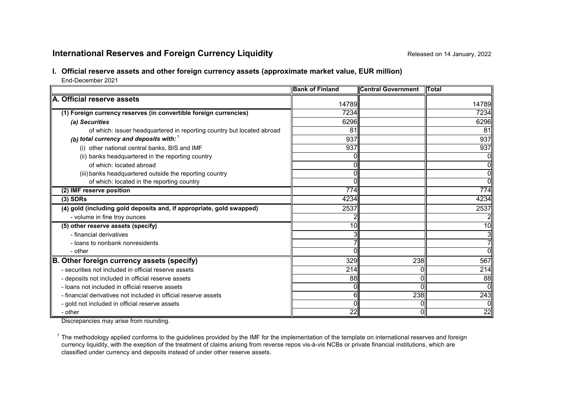# **International Reserves and Foreign Currency Liquidity Reference All and Secure 2022** Released on 14 January, 2022

# **I. Official reserve assets and other foreign currency assets (approximate market value, EUR million)**

End-December 2021

|                                                                        | <b>Bank of Finland</b> | <b>Central Government</b> | <b>ITotal</b> |
|------------------------------------------------------------------------|------------------------|---------------------------|---------------|
| A. Official reserve assets                                             | 14789                  |                           | 14789         |
| (1) Foreign currency reserves (in convertible foreign currencies)      | 7234                   |                           | 7234          |
| (a) Securities                                                         | 6296                   |                           | 6296          |
| of which: issuer headquartered in reporting country but located abroad | 81                     |                           | 81            |
| (b) total currency and deposits with: $1$                              | 937                    |                           | 937           |
| (i) other national central banks, BIS and IMF                          | 937                    |                           | 937           |
| (ii) banks headquartered in the reporting country                      |                        |                           | Οl            |
| of which: located abroad                                               |                        |                           | ΟI            |
| (iii) banks headquartered outside the reporting country                |                        |                           | Οl            |
| of which: located in the reporting country                             |                        |                           | ᇭ             |
| (2) IMF reserve position                                               | 774                    |                           | 774           |
| $(3)$ SDRs                                                             | 4234                   |                           | 4234          |
| (4) gold (including gold deposits and, if appropriate, gold swapped)   | 2537                   |                           | 2537          |
| - volume in fine troy ounces                                           |                        |                           |               |
| (5) other reserve assets (specify)                                     | 10I                    |                           | 10            |
| - financial derivatives                                                |                        |                           | 31            |
| - loans to nonbank nonresidents                                        |                        |                           | 71            |
| - other                                                                |                        |                           | ΩI            |
| B. Other foreign currency assets (specify)                             | 329                    | 238                       | 567           |
| - securities not included in official reserve assets                   | 214                    |                           | 214           |
| - deposits not included in official reserve assets                     | 88                     |                           | 88            |
| - loans not included in official reserve assets                        |                        |                           | Οl            |
| - financial derivatives not included in official reserve assets        | 61                     | 238                       | 243           |
| - gold not included in official reserve assets                         |                        |                           | Οl            |
| - other                                                                | 22                     |                           | 22            |

Discrepancies may arise from rounding.

 $1$  The methodology applied conforms to the guidelines provided by the IMF for the implementation of the template on international reserves and foreign currency liquidity, with the exeption of the treatment of claims arising from reverse repos vis-à-vis NCBs or private financial institutions, which are classified under currency and deposits instead of under other reserve assets.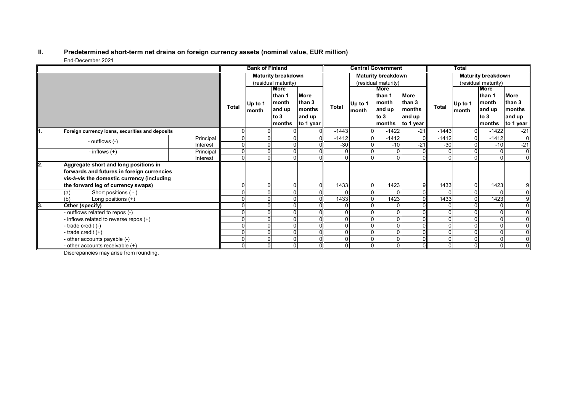#### **II. Predetermined short-term net drains on foreign currency assets (nominal value, EUR million)** End-December 2021

|     |                                                                                                                                                                         |           |                     | <b>Bank of Finland</b> |                                                     |                                                        |                     |                  | <b>Central Government</b>                                    |                                                        |              | Total            |                                                              |                                                                    |
|-----|-------------------------------------------------------------------------------------------------------------------------------------------------------------------------|-----------|---------------------|------------------------|-----------------------------------------------------|--------------------------------------------------------|---------------------|------------------|--------------------------------------------------------------|--------------------------------------------------------|--------------|------------------|--------------------------------------------------------------|--------------------------------------------------------------------|
|     |                                                                                                                                                                         |           |                     |                        | <b>Maturity breakdown</b>                           |                                                        |                     |                  | <b>Maturity breakdown</b>                                    |                                                        |              |                  | <b>Maturity breakdown</b>                                    |                                                                    |
|     |                                                                                                                                                                         |           | (residual maturity) |                        |                                                     |                                                        | (residual maturity) |                  |                                                              | (residual maturity)                                    |              |                  |                                                              |                                                                    |
|     |                                                                                                                                                                         |           | <b>Total</b>        | Up to 1<br>month       | More<br>than 1<br>month<br>and up<br>to 3<br>months | <b>More</b><br>than 3<br>months<br>and up<br>to 1 year | Total               | Up to 1<br>month | <b>More</b><br>than 1<br>month<br>and up<br>to $3$<br>months | <b>More</b><br>than 3<br>months<br>and up<br>to 1 year | Total        | Up to 1<br>month | <b>More</b><br>than 1<br>month<br>and up<br>to $3$<br>months | <b>More</b><br>than 3<br>months<br>and up<br>to 1 year $\parallel$ |
| Ι1. | Foreign currency loans, securities and deposits                                                                                                                         |           |                     |                        |                                                     |                                                        | $-1443$             |                  | $-1422$                                                      | $-21$                                                  | $-1443$      | $\Omega$         | $-1422$                                                      | $-21$                                                              |
|     | - outflows (-)                                                                                                                                                          | Principal |                     |                        |                                                     |                                                        | $-1412$             |                  | $-1412$                                                      | $\Omega$                                               | $-1412$      | 0                | $-1412$                                                      | $\overline{0}$                                                     |
|     |                                                                                                                                                                         | Interest  | 0                   |                        |                                                     |                                                        | $-30$               |                  | $-10$                                                        | $-21$                                                  | $-30$        | $\mathbf 0$      | $-10$                                                        | $-21$                                                              |
|     | - inflows $(+)$                                                                                                                                                         | Principal | $\Omega$            |                        | $\Omega$                                            |                                                        |                     |                  | $\Omega$                                                     | $\Omega$                                               | $\Omega$     | $\Omega$         | $\Omega$                                                     | $\overline{0}$                                                     |
|     |                                                                                                                                                                         | Interest  | 0                   |                        |                                                     |                                                        |                     |                  |                                                              | $\Omega$                                               | $\Omega$     | $\Omega$         |                                                              | $\overline{0}$                                                     |
| l2. | Aggregate short and long positions in<br>forwards and futures in foreign currencies<br>vis-à-vis the domestic currency (including<br>the forward leg of currency swaps) |           |                     |                        |                                                     |                                                        | 1433                |                  | 1423                                                         | 9                                                      | 1433         | 0                | 1423                                                         | 91                                                                 |
|     | Short positions (-)<br>(a)                                                                                                                                              |           |                     |                        |                                                     |                                                        |                     |                  |                                                              | $\Omega$                                               | $\Omega$     | $\mathbf 0$      |                                                              | 0l                                                                 |
|     | Long positions (+)<br>(b)                                                                                                                                               |           |                     |                        |                                                     |                                                        | 1433                |                  | 1423                                                         | 9                                                      | 1433         | $\mathbf 0$      | 1423                                                         | 9 <sup>1</sup>                                                     |
| lЗ. | Other (specify)                                                                                                                                                         |           |                     |                        |                                                     |                                                        |                     |                  |                                                              |                                                        | $\mathbf{0}$ | $\Omega$         |                                                              | $\overline{0}$                                                     |
|     | - outflows related to repos (-)                                                                                                                                         |           |                     |                        | O                                                   |                                                        |                     |                  | $\Omega$                                                     | $\Omega$                                               | $\mathbf{0}$ | 0                |                                                              | $\overline{0}$                                                     |
|     | - inflows related to reverse repos (+)                                                                                                                                  |           |                     |                        |                                                     |                                                        |                     |                  |                                                              |                                                        | $\Omega$     | $\Omega$         | $\Omega$                                                     | 0l                                                                 |
|     | - trade credit (-)                                                                                                                                                      |           |                     |                        |                                                     |                                                        |                     |                  | $\Omega$                                                     |                                                        | $\Omega$     | 0                |                                                              | 0l                                                                 |
|     | - trade credit $(+)$                                                                                                                                                    |           |                     |                        | $\Omega$                                            |                                                        |                     |                  | $\Omega$                                                     | $\Omega$                                               | $\Omega$     | $\mathbf 0$      |                                                              | $\overline{0}$                                                     |
|     | - other accounts payable (-)                                                                                                                                            |           |                     |                        |                                                     |                                                        |                     |                  | $\Omega$                                                     | $\Omega$                                               | $\mathbf{0}$ | $\Omega$         | 0                                                            | $\overline{0}$                                                     |
|     | - other accounts receivable $(+)$                                                                                                                                       |           | $\Omega$            |                        | $\Omega$                                            |                                                        |                     |                  | $\Omega$                                                     | $\Omega$                                               | 0            | $\overline{0}$   | $\Omega$                                                     | $\overline{0}$                                                     |

Discrepancies may arise from rounding.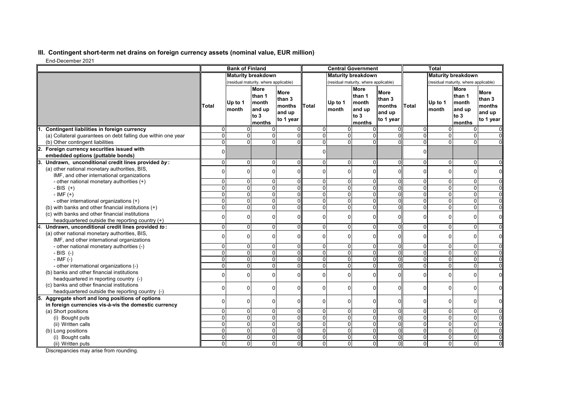## **III. Contingent short-term net drains on foreign currency assets (nominal value, EUR million)**

End-December 2021

| <b>Maturity breakdown</b><br><b>Maturity breakdown</b><br><b>Maturity breakdown</b><br>(residual maturity, where applicable)<br>(residual maturity, where applicable)<br>(residual maturity, where applicable)<br>More<br><b>More</b><br><b>More</b><br><b>More</b><br><b>More</b><br><b>More</b><br>than 1<br>than 1<br>than 1<br>than 3<br>than 3<br>than 3<br>month<br>month<br>month<br>Up to 1<br>Up to 1<br>Up to 1<br><b>Total</b><br>Total<br>months<br>Total<br>months<br>months<br>and up<br>and up<br>month<br>and up<br>month<br>month<br>and up<br>and up<br>and up<br>to 3<br>to 3<br>to 3<br>to 1 year<br>to 1 year<br>to 1 year<br>months<br>months<br>months<br>$\overline{0}$<br>$\overline{0}$<br>Contingent liabilities in foreign currency<br>$\Omega$<br>$\mathbf 0$<br>$\Omega$<br>$\Omega$<br>0<br>0<br>$\overline{0}$<br>$\Omega$<br>$\overline{0}$<br>ō<br>$\overline{0}$<br>$\mathbf 0$<br>$\Omega$<br>$\Omega$<br>$\Omega$<br>$\Omega$<br>0<br>$\Omega$<br>$\Omega$<br>(a) Collateral quarantees on debt falling due within one year<br>$\Omega$<br>$\overline{0}$<br>$\Omega$<br>$\Omega$<br>$\overline{0}$<br>$\Omega$<br>$\Omega$<br>$\overline{0}$<br>$\Omega$<br>(b) Other contingent liabilities<br>$\Omega$<br>Foreign currency securities issued with<br>2.<br>οI<br>$\overline{0}$<br>0<br>embedded options (puttable bonds)<br>$\Omega$<br>$\mathbf 0$<br>Undrawn, unconditional credit lines provided by:<br>$\Omega$<br>$\Omega$<br>$\Omega$<br>$\Omega$<br>$\Omega$<br>$\Omega$<br>$\Omega$<br>$\Omega$<br>$\Omega$<br>3.<br>(a) other national monetary authorities, BIS,<br>$\mathbf 0$<br>$\Omega$<br>$\Omega$<br>$\Omega$<br>0<br>$\Omega$<br>$\Omega$<br>$\Omega$<br>$\Omega$<br>$\Omega$<br>IMF, and other international organizations<br>$\overline{0}$<br>$\overline{0}$<br>$\mathbf 0$<br>$\overline{0}$<br>$\overline{0}$<br>$\mathbf 0$<br>$\mathbf 0$<br>0<br>0<br>0<br>0<br>- other national monetary authorities (+)<br>$\overline{0}$<br>$\overline{0}$<br>$\overline{0}$<br>$\overline{0}$<br>$\overline{0}$<br>$\overline{\mathsf{o}}$<br>$\overline{0}$<br>$\overline{0}$<br>$\overline{0}$<br>$\overline{0}$<br>- BIS $(+)$<br>$\Omega$<br>$\overline{0}$<br>0<br>$\overline{0}$<br>$\overline{0}$<br>$\mathbf 0$<br>$\overline{0}$<br>$-IMF (+)$<br>0<br>0<br>$\mathbf{0}$<br>$\Omega$<br>$\mathbf{0}$<br>$\overline{0}$<br>ō<br>$\overline{0}$<br>$\overline{0}$<br>0<br>0<br>0<br>$\mathbf 0$<br>$\overline{0}$<br>$\overline{0}$<br>$\Omega$<br>- other international organizations (+)<br>0<br>0<br>$\mathbf 0$<br>$\Omega$<br>$\Omega$<br>$\Omega$<br>(b) with banks and other financial institutions (+)<br>$\Omega$<br>$\Omega$<br>$\Omega$<br>$\Omega$<br>$\Omega$<br>(c) with banks and other financial institutions<br>0<br>0<br>$\mathbf 0$<br>0<br>0<br>$\Omega$<br>$\Omega$<br>0<br>$\Omega$<br>$\Omega$<br>C<br>headquartered outside the reporting country (+)<br>0<br>0<br>$\overline{0}$<br>$\overline{0}$<br>$\mathbf 0$<br>$\mathbf 0$<br>$\mathbf 0$<br>$\overline{0}$<br>$\mathbf{0}$<br>$\mathbf{0}$<br>Undrawn, unconditional credit lines provided to:<br>0<br>(a) other national monetary authorities, BIS,<br>$\mathbf 0$<br>$\Omega$<br>0<br>$\Omega$<br>0<br>$\Omega$<br>$\Omega$<br>0<br>$\Omega$<br>0<br>IMF, and other international organizations<br>$\mathbf 0$<br>0<br>$\overline{0}$<br>$\mathbf 0$<br>$\overline{0}$<br>$\overline{0}$<br>$\Omega$<br>$\mathbf{0}$<br>- other national monetary authorities (-)<br>0<br>$\mathbf{0}$<br>$\Omega$<br>$\overline{0}$<br>$\overline{0}$<br>$\overline{0}$<br>$\overline{0}$<br>0<br>0<br>$\mathbf{0}$<br>$\Omega$<br>$\Omega$<br>$\Omega$<br>$\Omega$<br>$-BIS$ (-)<br>0<br>$\mathbf 0$<br>$\mathbf 0$<br>$\Omega$<br>$\Omega$<br>$\Omega$<br>0<br>$\Omega$<br>$\Omega$<br>$\Omega$<br>$-IMF(-)$<br>$\Omega$<br>$\overline{\mathsf{o}}$<br>$\overline{0}$<br>0<br>0<br>0<br>$\mathbf{0}$<br>$\mathbf 0$<br>$\mathbf 0$<br>$\Omega$<br>$\Omega$<br>$\Omega$<br>- other international organizations (-)<br>(b) banks and other financial institutions<br>$\mathbf 0$<br>0<br>$\Omega$<br>$\mathbf{0}$<br>$\mathbf 0$<br>0<br>0<br>$\Omega$<br>$\Omega$<br>0<br>O<br>headquartered in reporting country (-)<br>(c) banks and other financial institutions<br>0<br>$\mathbf 0$<br>0<br>$\mathbf{0}$<br>$\mathbf 0$<br>$\mathbf{0}$<br>$\Omega$<br>$\mathbf{0}$<br>$\Omega$<br>$\Omega$<br>n<br>headquartered outside the reporting country (-)<br>Aggregate short and long positions of options<br>5.<br>$\mathbf{0}$<br>$\mathbf 0$<br>$\Omega$<br>$\mathbf 0$<br>0<br>$\Omega$<br>$\mathbf{0}$<br>$\Omega$<br>$\Omega$<br>$\Omega$<br>$\Omega$<br>in foreign currencies vis-à-vis the domestic currency<br>$\overline{0}$<br>$\mathbf 0$<br>$\overline{0}$<br>$\mathsf 0$<br>0<br>0<br>0<br>$\overline{0}$<br>$\overline{0}$<br>0<br>$\mathbf{0}$<br>(a) Short positions<br>$\overline{\mathsf{o}}$<br>O<br>$\overline{0}$<br>$\overline{0}$<br>$\overline{\mathbf{0}}$<br>$\overline{0}$<br>$\overline{0}$<br>$\overline{0}$<br>$\overline{0}$<br>$\overline{0}$<br>$\overline{0}$<br>(i) Bought puts<br>$\overline{0}$<br>$\overline{0}$<br>$\overline{0}$<br>$\overline{0}$<br>ō<br>$\overline{0}$<br>$\Omega$<br>$\Omega$<br>$\Omega$<br>$\Omega$<br>$\Omega$<br>(ii) Written calls<br>0<br>0<br>0<br>$\mathbf{0}$<br>$\mathbf 0$<br>$\mathbf 0$<br>$\Omega$<br>$\Omega$<br>$\Omega$<br>$\Omega$<br>$\Omega$<br>(b) Long positions |  | <b>Bank of Finland</b> |  |  | <b>Central Government</b> |  |  |  | <b>Total</b> |  |  |  |  |
|------------------------------------------------------------------------------------------------------------------------------------------------------------------------------------------------------------------------------------------------------------------------------------------------------------------------------------------------------------------------------------------------------------------------------------------------------------------------------------------------------------------------------------------------------------------------------------------------------------------------------------------------------------------------------------------------------------------------------------------------------------------------------------------------------------------------------------------------------------------------------------------------------------------------------------------------------------------------------------------------------------------------------------------------------------------------------------------------------------------------------------------------------------------------------------------------------------------------------------------------------------------------------------------------------------------------------------------------------------------------------------------------------------------------------------------------------------------------------------------------------------------------------------------------------------------------------------------------------------------------------------------------------------------------------------------------------------------------------------------------------------------------------------------------------------------------------------------------------------------------------------------------------------------------------------------------------------------------------------------------------------------------------------------------------------------------------------------------------------------------------------------------------------------------------------------------------------------------------------------------------------------------------------------------------------------------------------------------------------------------------------------------------------------------------------------------------------------------------------------------------------------------------------------------------------------------------------------------------------------------------------------------------------------------------------------------------------------------------------------------------------------------------------------------------------------------------------------------------------------------------------------------------------------------------------------------------------------------------------------------------------------------------------------------------------------------------------------------------------------------------------------------------------------------------------------------------------------------------------------------------------------------------------------------------------------------------------------------------------------------------------------------------------------------------------------------------------------------------------------------------------------------------------------------------------------------------------------------------------------------------------------------------------------------------------------------------------------------------------------------------------------------------------------------------------------------------------------------------------------------------------------------------------------------------------------------------------------------------------------------------------------------------------------------------------------------------------------------------------------------------------------------------------------------------------------------------------------------------------------------------------------------------------------------------------------------------------------------------------------------------------------------------------------------------------------------------------------------------------------------------------------------------------------------------------------------------------------------------------------------------------------------------------------------------------------------------------------------------------------------------------------------------------------------------------------------------------------------------------------------------------------------------------------------------------------------------------------------------------------------------------------------------------------------------------------------------------------------------------------------------------------------------------------------------------------------------------------------------------------------------------------------------------------------------------------------------------------------------------------------------------------------------------------------------------------------------------------------------------|--|------------------------|--|--|---------------------------|--|--|--|--------------|--|--|--|--|
|                                                                                                                                                                                                                                                                                                                                                                                                                                                                                                                                                                                                                                                                                                                                                                                                                                                                                                                                                                                                                                                                                                                                                                                                                                                                                                                                                                                                                                                                                                                                                                                                                                                                                                                                                                                                                                                                                                                                                                                                                                                                                                                                                                                                                                                                                                                                                                                                                                                                                                                                                                                                                                                                                                                                                                                                                                                                                                                                                                                                                                                                                                                                                                                                                                                                                                                                                                                                                                                                                                                                                                                                                                                                                                                                                                                                                                                                                                                                                                                                                                                                                                                                                                                                                                                                                                                                                                                                                                                                                                                                                                                                                                                                                                                                                                                                                                                                                                                                                                                                                                                                                                                                                                                                                                                                                                                                                                                                                                                                                    |  |                        |  |  |                           |  |  |  |              |  |  |  |  |
|                                                                                                                                                                                                                                                                                                                                                                                                                                                                                                                                                                                                                                                                                                                                                                                                                                                                                                                                                                                                                                                                                                                                                                                                                                                                                                                                                                                                                                                                                                                                                                                                                                                                                                                                                                                                                                                                                                                                                                                                                                                                                                                                                                                                                                                                                                                                                                                                                                                                                                                                                                                                                                                                                                                                                                                                                                                                                                                                                                                                                                                                                                                                                                                                                                                                                                                                                                                                                                                                                                                                                                                                                                                                                                                                                                                                                                                                                                                                                                                                                                                                                                                                                                                                                                                                                                                                                                                                                                                                                                                                                                                                                                                                                                                                                                                                                                                                                                                                                                                                                                                                                                                                                                                                                                                                                                                                                                                                                                                                                    |  |                        |  |  |                           |  |  |  |              |  |  |  |  |
| $\mathbf 0$<br>$\mathbf 0$<br>$\mathbf 0$<br>$\mathbf 0$<br>$\mathbf 0$<br>$\mathbf 0$<br>$\mathbf 0$<br>$\mathbf 0$<br>$\mathbf 0$<br>$\mathbf 0$<br>$\mathbf 0$<br>$\pmb{0}$<br>$\mathbf 0$<br>$\mathbf 0$<br>$\Omega$<br>$\mathbf 0$<br>$\pmb{0}$<br>$\mathbf 0$<br>$\mathbf 0$<br>$\mathbf 0$<br>$\mathbf 0$<br>$\mathbf 0$<br>$\mathbf 0$<br>$\mathbf 0$                                                                                                                                                                                                                                                                                                                                                                                                                                                                                                                                                                                                                                                                                                                                                                                                                                                                                                                                                                                                                                                                                                                                                                                                                                                                                                                                                                                                                                                                                                                                                                                                                                                                                                                                                                                                                                                                                                                                                                                                                                                                                                                                                                                                                                                                                                                                                                                                                                                                                                                                                                                                                                                                                                                                                                                                                                                                                                                                                                                                                                                                                                                                                                                                                                                                                                                                                                                                                                                                                                                                                                                                                                                                                                                                                                                                                                                                                                                                                                                                                                                                                                                                                                                                                                                                                                                                                                                                                                                                                                                                                                                                                                                                                                                                                                                                                                                                                                                                                                                                                                                                                                                      |  |                        |  |  |                           |  |  |  |              |  |  |  |  |
|                                                                                                                                                                                                                                                                                                                                                                                                                                                                                                                                                                                                                                                                                                                                                                                                                                                                                                                                                                                                                                                                                                                                                                                                                                                                                                                                                                                                                                                                                                                                                                                                                                                                                                                                                                                                                                                                                                                                                                                                                                                                                                                                                                                                                                                                                                                                                                                                                                                                                                                                                                                                                                                                                                                                                                                                                                                                                                                                                                                                                                                                                                                                                                                                                                                                                                                                                                                                                                                                                                                                                                                                                                                                                                                                                                                                                                                                                                                                                                                                                                                                                                                                                                                                                                                                                                                                                                                                                                                                                                                                                                                                                                                                                                                                                                                                                                                                                                                                                                                                                                                                                                                                                                                                                                                                                                                                                                                                                                                                                    |  |                        |  |  |                           |  |  |  |              |  |  |  |  |
|                                                                                                                                                                                                                                                                                                                                                                                                                                                                                                                                                                                                                                                                                                                                                                                                                                                                                                                                                                                                                                                                                                                                                                                                                                                                                                                                                                                                                                                                                                                                                                                                                                                                                                                                                                                                                                                                                                                                                                                                                                                                                                                                                                                                                                                                                                                                                                                                                                                                                                                                                                                                                                                                                                                                                                                                                                                                                                                                                                                                                                                                                                                                                                                                                                                                                                                                                                                                                                                                                                                                                                                                                                                                                                                                                                                                                                                                                                                                                                                                                                                                                                                                                                                                                                                                                                                                                                                                                                                                                                                                                                                                                                                                                                                                                                                                                                                                                                                                                                                                                                                                                                                                                                                                                                                                                                                                                                                                                                                                                    |  |                        |  |  |                           |  |  |  |              |  |  |  |  |
|                                                                                                                                                                                                                                                                                                                                                                                                                                                                                                                                                                                                                                                                                                                                                                                                                                                                                                                                                                                                                                                                                                                                                                                                                                                                                                                                                                                                                                                                                                                                                                                                                                                                                                                                                                                                                                                                                                                                                                                                                                                                                                                                                                                                                                                                                                                                                                                                                                                                                                                                                                                                                                                                                                                                                                                                                                                                                                                                                                                                                                                                                                                                                                                                                                                                                                                                                                                                                                                                                                                                                                                                                                                                                                                                                                                                                                                                                                                                                                                                                                                                                                                                                                                                                                                                                                                                                                                                                                                                                                                                                                                                                                                                                                                                                                                                                                                                                                                                                                                                                                                                                                                                                                                                                                                                                                                                                                                                                                                                                    |  |                        |  |  |                           |  |  |  |              |  |  |  |  |
|                                                                                                                                                                                                                                                                                                                                                                                                                                                                                                                                                                                                                                                                                                                                                                                                                                                                                                                                                                                                                                                                                                                                                                                                                                                                                                                                                                                                                                                                                                                                                                                                                                                                                                                                                                                                                                                                                                                                                                                                                                                                                                                                                                                                                                                                                                                                                                                                                                                                                                                                                                                                                                                                                                                                                                                                                                                                                                                                                                                                                                                                                                                                                                                                                                                                                                                                                                                                                                                                                                                                                                                                                                                                                                                                                                                                                                                                                                                                                                                                                                                                                                                                                                                                                                                                                                                                                                                                                                                                                                                                                                                                                                                                                                                                                                                                                                                                                                                                                                                                                                                                                                                                                                                                                                                                                                                                                                                                                                                                                    |  |                        |  |  |                           |  |  |  |              |  |  |  |  |
|                                                                                                                                                                                                                                                                                                                                                                                                                                                                                                                                                                                                                                                                                                                                                                                                                                                                                                                                                                                                                                                                                                                                                                                                                                                                                                                                                                                                                                                                                                                                                                                                                                                                                                                                                                                                                                                                                                                                                                                                                                                                                                                                                                                                                                                                                                                                                                                                                                                                                                                                                                                                                                                                                                                                                                                                                                                                                                                                                                                                                                                                                                                                                                                                                                                                                                                                                                                                                                                                                                                                                                                                                                                                                                                                                                                                                                                                                                                                                                                                                                                                                                                                                                                                                                                                                                                                                                                                                                                                                                                                                                                                                                                                                                                                                                                                                                                                                                                                                                                                                                                                                                                                                                                                                                                                                                                                                                                                                                                                                    |  |                        |  |  |                           |  |  |  |              |  |  |  |  |
|                                                                                                                                                                                                                                                                                                                                                                                                                                                                                                                                                                                                                                                                                                                                                                                                                                                                                                                                                                                                                                                                                                                                                                                                                                                                                                                                                                                                                                                                                                                                                                                                                                                                                                                                                                                                                                                                                                                                                                                                                                                                                                                                                                                                                                                                                                                                                                                                                                                                                                                                                                                                                                                                                                                                                                                                                                                                                                                                                                                                                                                                                                                                                                                                                                                                                                                                                                                                                                                                                                                                                                                                                                                                                                                                                                                                                                                                                                                                                                                                                                                                                                                                                                                                                                                                                                                                                                                                                                                                                                                                                                                                                                                                                                                                                                                                                                                                                                                                                                                                                                                                                                                                                                                                                                                                                                                                                                                                                                                                                    |  |                        |  |  |                           |  |  |  |              |  |  |  |  |
|                                                                                                                                                                                                                                                                                                                                                                                                                                                                                                                                                                                                                                                                                                                                                                                                                                                                                                                                                                                                                                                                                                                                                                                                                                                                                                                                                                                                                                                                                                                                                                                                                                                                                                                                                                                                                                                                                                                                                                                                                                                                                                                                                                                                                                                                                                                                                                                                                                                                                                                                                                                                                                                                                                                                                                                                                                                                                                                                                                                                                                                                                                                                                                                                                                                                                                                                                                                                                                                                                                                                                                                                                                                                                                                                                                                                                                                                                                                                                                                                                                                                                                                                                                                                                                                                                                                                                                                                                                                                                                                                                                                                                                                                                                                                                                                                                                                                                                                                                                                                                                                                                                                                                                                                                                                                                                                                                                                                                                                                                    |  |                        |  |  |                           |  |  |  |              |  |  |  |  |
|                                                                                                                                                                                                                                                                                                                                                                                                                                                                                                                                                                                                                                                                                                                                                                                                                                                                                                                                                                                                                                                                                                                                                                                                                                                                                                                                                                                                                                                                                                                                                                                                                                                                                                                                                                                                                                                                                                                                                                                                                                                                                                                                                                                                                                                                                                                                                                                                                                                                                                                                                                                                                                                                                                                                                                                                                                                                                                                                                                                                                                                                                                                                                                                                                                                                                                                                                                                                                                                                                                                                                                                                                                                                                                                                                                                                                                                                                                                                                                                                                                                                                                                                                                                                                                                                                                                                                                                                                                                                                                                                                                                                                                                                                                                                                                                                                                                                                                                                                                                                                                                                                                                                                                                                                                                                                                                                                                                                                                                                                    |  |                        |  |  |                           |  |  |  |              |  |  |  |  |
|                                                                                                                                                                                                                                                                                                                                                                                                                                                                                                                                                                                                                                                                                                                                                                                                                                                                                                                                                                                                                                                                                                                                                                                                                                                                                                                                                                                                                                                                                                                                                                                                                                                                                                                                                                                                                                                                                                                                                                                                                                                                                                                                                                                                                                                                                                                                                                                                                                                                                                                                                                                                                                                                                                                                                                                                                                                                                                                                                                                                                                                                                                                                                                                                                                                                                                                                                                                                                                                                                                                                                                                                                                                                                                                                                                                                                                                                                                                                                                                                                                                                                                                                                                                                                                                                                                                                                                                                                                                                                                                                                                                                                                                                                                                                                                                                                                                                                                                                                                                                                                                                                                                                                                                                                                                                                                                                                                                                                                                                                    |  |                        |  |  |                           |  |  |  |              |  |  |  |  |
|                                                                                                                                                                                                                                                                                                                                                                                                                                                                                                                                                                                                                                                                                                                                                                                                                                                                                                                                                                                                                                                                                                                                                                                                                                                                                                                                                                                                                                                                                                                                                                                                                                                                                                                                                                                                                                                                                                                                                                                                                                                                                                                                                                                                                                                                                                                                                                                                                                                                                                                                                                                                                                                                                                                                                                                                                                                                                                                                                                                                                                                                                                                                                                                                                                                                                                                                                                                                                                                                                                                                                                                                                                                                                                                                                                                                                                                                                                                                                                                                                                                                                                                                                                                                                                                                                                                                                                                                                                                                                                                                                                                                                                                                                                                                                                                                                                                                                                                                                                                                                                                                                                                                                                                                                                                                                                                                                                                                                                                                                    |  |                        |  |  |                           |  |  |  |              |  |  |  |  |
|                                                                                                                                                                                                                                                                                                                                                                                                                                                                                                                                                                                                                                                                                                                                                                                                                                                                                                                                                                                                                                                                                                                                                                                                                                                                                                                                                                                                                                                                                                                                                                                                                                                                                                                                                                                                                                                                                                                                                                                                                                                                                                                                                                                                                                                                                                                                                                                                                                                                                                                                                                                                                                                                                                                                                                                                                                                                                                                                                                                                                                                                                                                                                                                                                                                                                                                                                                                                                                                                                                                                                                                                                                                                                                                                                                                                                                                                                                                                                                                                                                                                                                                                                                                                                                                                                                                                                                                                                                                                                                                                                                                                                                                                                                                                                                                                                                                                                                                                                                                                                                                                                                                                                                                                                                                                                                                                                                                                                                                                                    |  |                        |  |  |                           |  |  |  |              |  |  |  |  |
|                                                                                                                                                                                                                                                                                                                                                                                                                                                                                                                                                                                                                                                                                                                                                                                                                                                                                                                                                                                                                                                                                                                                                                                                                                                                                                                                                                                                                                                                                                                                                                                                                                                                                                                                                                                                                                                                                                                                                                                                                                                                                                                                                                                                                                                                                                                                                                                                                                                                                                                                                                                                                                                                                                                                                                                                                                                                                                                                                                                                                                                                                                                                                                                                                                                                                                                                                                                                                                                                                                                                                                                                                                                                                                                                                                                                                                                                                                                                                                                                                                                                                                                                                                                                                                                                                                                                                                                                                                                                                                                                                                                                                                                                                                                                                                                                                                                                                                                                                                                                                                                                                                                                                                                                                                                                                                                                                                                                                                                                                    |  |                        |  |  |                           |  |  |  |              |  |  |  |  |
|                                                                                                                                                                                                                                                                                                                                                                                                                                                                                                                                                                                                                                                                                                                                                                                                                                                                                                                                                                                                                                                                                                                                                                                                                                                                                                                                                                                                                                                                                                                                                                                                                                                                                                                                                                                                                                                                                                                                                                                                                                                                                                                                                                                                                                                                                                                                                                                                                                                                                                                                                                                                                                                                                                                                                                                                                                                                                                                                                                                                                                                                                                                                                                                                                                                                                                                                                                                                                                                                                                                                                                                                                                                                                                                                                                                                                                                                                                                                                                                                                                                                                                                                                                                                                                                                                                                                                                                                                                                                                                                                                                                                                                                                                                                                                                                                                                                                                                                                                                                                                                                                                                                                                                                                                                                                                                                                                                                                                                                                                    |  |                        |  |  |                           |  |  |  |              |  |  |  |  |
|                                                                                                                                                                                                                                                                                                                                                                                                                                                                                                                                                                                                                                                                                                                                                                                                                                                                                                                                                                                                                                                                                                                                                                                                                                                                                                                                                                                                                                                                                                                                                                                                                                                                                                                                                                                                                                                                                                                                                                                                                                                                                                                                                                                                                                                                                                                                                                                                                                                                                                                                                                                                                                                                                                                                                                                                                                                                                                                                                                                                                                                                                                                                                                                                                                                                                                                                                                                                                                                                                                                                                                                                                                                                                                                                                                                                                                                                                                                                                                                                                                                                                                                                                                                                                                                                                                                                                                                                                                                                                                                                                                                                                                                                                                                                                                                                                                                                                                                                                                                                                                                                                                                                                                                                                                                                                                                                                                                                                                                                                    |  |                        |  |  |                           |  |  |  |              |  |  |  |  |
|                                                                                                                                                                                                                                                                                                                                                                                                                                                                                                                                                                                                                                                                                                                                                                                                                                                                                                                                                                                                                                                                                                                                                                                                                                                                                                                                                                                                                                                                                                                                                                                                                                                                                                                                                                                                                                                                                                                                                                                                                                                                                                                                                                                                                                                                                                                                                                                                                                                                                                                                                                                                                                                                                                                                                                                                                                                                                                                                                                                                                                                                                                                                                                                                                                                                                                                                                                                                                                                                                                                                                                                                                                                                                                                                                                                                                                                                                                                                                                                                                                                                                                                                                                                                                                                                                                                                                                                                                                                                                                                                                                                                                                                                                                                                                                                                                                                                                                                                                                                                                                                                                                                                                                                                                                                                                                                                                                                                                                                                                    |  |                        |  |  |                           |  |  |  |              |  |  |  |  |
|                                                                                                                                                                                                                                                                                                                                                                                                                                                                                                                                                                                                                                                                                                                                                                                                                                                                                                                                                                                                                                                                                                                                                                                                                                                                                                                                                                                                                                                                                                                                                                                                                                                                                                                                                                                                                                                                                                                                                                                                                                                                                                                                                                                                                                                                                                                                                                                                                                                                                                                                                                                                                                                                                                                                                                                                                                                                                                                                                                                                                                                                                                                                                                                                                                                                                                                                                                                                                                                                                                                                                                                                                                                                                                                                                                                                                                                                                                                                                                                                                                                                                                                                                                                                                                                                                                                                                                                                                                                                                                                                                                                                                                                                                                                                                                                                                                                                                                                                                                                                                                                                                                                                                                                                                                                                                                                                                                                                                                                                                    |  |                        |  |  |                           |  |  |  |              |  |  |  |  |
|                                                                                                                                                                                                                                                                                                                                                                                                                                                                                                                                                                                                                                                                                                                                                                                                                                                                                                                                                                                                                                                                                                                                                                                                                                                                                                                                                                                                                                                                                                                                                                                                                                                                                                                                                                                                                                                                                                                                                                                                                                                                                                                                                                                                                                                                                                                                                                                                                                                                                                                                                                                                                                                                                                                                                                                                                                                                                                                                                                                                                                                                                                                                                                                                                                                                                                                                                                                                                                                                                                                                                                                                                                                                                                                                                                                                                                                                                                                                                                                                                                                                                                                                                                                                                                                                                                                                                                                                                                                                                                                                                                                                                                                                                                                                                                                                                                                                                                                                                                                                                                                                                                                                                                                                                                                                                                                                                                                                                                                                                    |  |                        |  |  |                           |  |  |  |              |  |  |  |  |
|                                                                                                                                                                                                                                                                                                                                                                                                                                                                                                                                                                                                                                                                                                                                                                                                                                                                                                                                                                                                                                                                                                                                                                                                                                                                                                                                                                                                                                                                                                                                                                                                                                                                                                                                                                                                                                                                                                                                                                                                                                                                                                                                                                                                                                                                                                                                                                                                                                                                                                                                                                                                                                                                                                                                                                                                                                                                                                                                                                                                                                                                                                                                                                                                                                                                                                                                                                                                                                                                                                                                                                                                                                                                                                                                                                                                                                                                                                                                                                                                                                                                                                                                                                                                                                                                                                                                                                                                                                                                                                                                                                                                                                                                                                                                                                                                                                                                                                                                                                                                                                                                                                                                                                                                                                                                                                                                                                                                                                                                                    |  |                        |  |  |                           |  |  |  |              |  |  |  |  |
|                                                                                                                                                                                                                                                                                                                                                                                                                                                                                                                                                                                                                                                                                                                                                                                                                                                                                                                                                                                                                                                                                                                                                                                                                                                                                                                                                                                                                                                                                                                                                                                                                                                                                                                                                                                                                                                                                                                                                                                                                                                                                                                                                                                                                                                                                                                                                                                                                                                                                                                                                                                                                                                                                                                                                                                                                                                                                                                                                                                                                                                                                                                                                                                                                                                                                                                                                                                                                                                                                                                                                                                                                                                                                                                                                                                                                                                                                                                                                                                                                                                                                                                                                                                                                                                                                                                                                                                                                                                                                                                                                                                                                                                                                                                                                                                                                                                                                                                                                                                                                                                                                                                                                                                                                                                                                                                                                                                                                                                                                    |  |                        |  |  |                           |  |  |  |              |  |  |  |  |
|                                                                                                                                                                                                                                                                                                                                                                                                                                                                                                                                                                                                                                                                                                                                                                                                                                                                                                                                                                                                                                                                                                                                                                                                                                                                                                                                                                                                                                                                                                                                                                                                                                                                                                                                                                                                                                                                                                                                                                                                                                                                                                                                                                                                                                                                                                                                                                                                                                                                                                                                                                                                                                                                                                                                                                                                                                                                                                                                                                                                                                                                                                                                                                                                                                                                                                                                                                                                                                                                                                                                                                                                                                                                                                                                                                                                                                                                                                                                                                                                                                                                                                                                                                                                                                                                                                                                                                                                                                                                                                                                                                                                                                                                                                                                                                                                                                                                                                                                                                                                                                                                                                                                                                                                                                                                                                                                                                                                                                                                                    |  |                        |  |  |                           |  |  |  |              |  |  |  |  |
|                                                                                                                                                                                                                                                                                                                                                                                                                                                                                                                                                                                                                                                                                                                                                                                                                                                                                                                                                                                                                                                                                                                                                                                                                                                                                                                                                                                                                                                                                                                                                                                                                                                                                                                                                                                                                                                                                                                                                                                                                                                                                                                                                                                                                                                                                                                                                                                                                                                                                                                                                                                                                                                                                                                                                                                                                                                                                                                                                                                                                                                                                                                                                                                                                                                                                                                                                                                                                                                                                                                                                                                                                                                                                                                                                                                                                                                                                                                                                                                                                                                                                                                                                                                                                                                                                                                                                                                                                                                                                                                                                                                                                                                                                                                                                                                                                                                                                                                                                                                                                                                                                                                                                                                                                                                                                                                                                                                                                                                                                    |  |                        |  |  |                           |  |  |  |              |  |  |  |  |
|                                                                                                                                                                                                                                                                                                                                                                                                                                                                                                                                                                                                                                                                                                                                                                                                                                                                                                                                                                                                                                                                                                                                                                                                                                                                                                                                                                                                                                                                                                                                                                                                                                                                                                                                                                                                                                                                                                                                                                                                                                                                                                                                                                                                                                                                                                                                                                                                                                                                                                                                                                                                                                                                                                                                                                                                                                                                                                                                                                                                                                                                                                                                                                                                                                                                                                                                                                                                                                                                                                                                                                                                                                                                                                                                                                                                                                                                                                                                                                                                                                                                                                                                                                                                                                                                                                                                                                                                                                                                                                                                                                                                                                                                                                                                                                                                                                                                                                                                                                                                                                                                                                                                                                                                                                                                                                                                                                                                                                                                                    |  |                        |  |  |                           |  |  |  |              |  |  |  |  |
|                                                                                                                                                                                                                                                                                                                                                                                                                                                                                                                                                                                                                                                                                                                                                                                                                                                                                                                                                                                                                                                                                                                                                                                                                                                                                                                                                                                                                                                                                                                                                                                                                                                                                                                                                                                                                                                                                                                                                                                                                                                                                                                                                                                                                                                                                                                                                                                                                                                                                                                                                                                                                                                                                                                                                                                                                                                                                                                                                                                                                                                                                                                                                                                                                                                                                                                                                                                                                                                                                                                                                                                                                                                                                                                                                                                                                                                                                                                                                                                                                                                                                                                                                                                                                                                                                                                                                                                                                                                                                                                                                                                                                                                                                                                                                                                                                                                                                                                                                                                                                                                                                                                                                                                                                                                                                                                                                                                                                                                                                    |  |                        |  |  |                           |  |  |  |              |  |  |  |  |
|                                                                                                                                                                                                                                                                                                                                                                                                                                                                                                                                                                                                                                                                                                                                                                                                                                                                                                                                                                                                                                                                                                                                                                                                                                                                                                                                                                                                                                                                                                                                                                                                                                                                                                                                                                                                                                                                                                                                                                                                                                                                                                                                                                                                                                                                                                                                                                                                                                                                                                                                                                                                                                                                                                                                                                                                                                                                                                                                                                                                                                                                                                                                                                                                                                                                                                                                                                                                                                                                                                                                                                                                                                                                                                                                                                                                                                                                                                                                                                                                                                                                                                                                                                                                                                                                                                                                                                                                                                                                                                                                                                                                                                                                                                                                                                                                                                                                                                                                                                                                                                                                                                                                                                                                                                                                                                                                                                                                                                                                                    |  |                        |  |  |                           |  |  |  |              |  |  |  |  |
|                                                                                                                                                                                                                                                                                                                                                                                                                                                                                                                                                                                                                                                                                                                                                                                                                                                                                                                                                                                                                                                                                                                                                                                                                                                                                                                                                                                                                                                                                                                                                                                                                                                                                                                                                                                                                                                                                                                                                                                                                                                                                                                                                                                                                                                                                                                                                                                                                                                                                                                                                                                                                                                                                                                                                                                                                                                                                                                                                                                                                                                                                                                                                                                                                                                                                                                                                                                                                                                                                                                                                                                                                                                                                                                                                                                                                                                                                                                                                                                                                                                                                                                                                                                                                                                                                                                                                                                                                                                                                                                                                                                                                                                                                                                                                                                                                                                                                                                                                                                                                                                                                                                                                                                                                                                                                                                                                                                                                                                                                    |  |                        |  |  |                           |  |  |  |              |  |  |  |  |
|                                                                                                                                                                                                                                                                                                                                                                                                                                                                                                                                                                                                                                                                                                                                                                                                                                                                                                                                                                                                                                                                                                                                                                                                                                                                                                                                                                                                                                                                                                                                                                                                                                                                                                                                                                                                                                                                                                                                                                                                                                                                                                                                                                                                                                                                                                                                                                                                                                                                                                                                                                                                                                                                                                                                                                                                                                                                                                                                                                                                                                                                                                                                                                                                                                                                                                                                                                                                                                                                                                                                                                                                                                                                                                                                                                                                                                                                                                                                                                                                                                                                                                                                                                                                                                                                                                                                                                                                                                                                                                                                                                                                                                                                                                                                                                                                                                                                                                                                                                                                                                                                                                                                                                                                                                                                                                                                                                                                                                                                                    |  |                        |  |  |                           |  |  |  |              |  |  |  |  |
|                                                                                                                                                                                                                                                                                                                                                                                                                                                                                                                                                                                                                                                                                                                                                                                                                                                                                                                                                                                                                                                                                                                                                                                                                                                                                                                                                                                                                                                                                                                                                                                                                                                                                                                                                                                                                                                                                                                                                                                                                                                                                                                                                                                                                                                                                                                                                                                                                                                                                                                                                                                                                                                                                                                                                                                                                                                                                                                                                                                                                                                                                                                                                                                                                                                                                                                                                                                                                                                                                                                                                                                                                                                                                                                                                                                                                                                                                                                                                                                                                                                                                                                                                                                                                                                                                                                                                                                                                                                                                                                                                                                                                                                                                                                                                                                                                                                                                                                                                                                                                                                                                                                                                                                                                                                                                                                                                                                                                                                                                    |  |                        |  |  |                           |  |  |  |              |  |  |  |  |
|                                                                                                                                                                                                                                                                                                                                                                                                                                                                                                                                                                                                                                                                                                                                                                                                                                                                                                                                                                                                                                                                                                                                                                                                                                                                                                                                                                                                                                                                                                                                                                                                                                                                                                                                                                                                                                                                                                                                                                                                                                                                                                                                                                                                                                                                                                                                                                                                                                                                                                                                                                                                                                                                                                                                                                                                                                                                                                                                                                                                                                                                                                                                                                                                                                                                                                                                                                                                                                                                                                                                                                                                                                                                                                                                                                                                                                                                                                                                                                                                                                                                                                                                                                                                                                                                                                                                                                                                                                                                                                                                                                                                                                                                                                                                                                                                                                                                                                                                                                                                                                                                                                                                                                                                                                                                                                                                                                                                                                                                                    |  |                        |  |  |                           |  |  |  |              |  |  |  |  |
|                                                                                                                                                                                                                                                                                                                                                                                                                                                                                                                                                                                                                                                                                                                                                                                                                                                                                                                                                                                                                                                                                                                                                                                                                                                                                                                                                                                                                                                                                                                                                                                                                                                                                                                                                                                                                                                                                                                                                                                                                                                                                                                                                                                                                                                                                                                                                                                                                                                                                                                                                                                                                                                                                                                                                                                                                                                                                                                                                                                                                                                                                                                                                                                                                                                                                                                                                                                                                                                                                                                                                                                                                                                                                                                                                                                                                                                                                                                                                                                                                                                                                                                                                                                                                                                                                                                                                                                                                                                                                                                                                                                                                                                                                                                                                                                                                                                                                                                                                                                                                                                                                                                                                                                                                                                                                                                                                                                                                                                                                    |  |                        |  |  |                           |  |  |  |              |  |  |  |  |
|                                                                                                                                                                                                                                                                                                                                                                                                                                                                                                                                                                                                                                                                                                                                                                                                                                                                                                                                                                                                                                                                                                                                                                                                                                                                                                                                                                                                                                                                                                                                                                                                                                                                                                                                                                                                                                                                                                                                                                                                                                                                                                                                                                                                                                                                                                                                                                                                                                                                                                                                                                                                                                                                                                                                                                                                                                                                                                                                                                                                                                                                                                                                                                                                                                                                                                                                                                                                                                                                                                                                                                                                                                                                                                                                                                                                                                                                                                                                                                                                                                                                                                                                                                                                                                                                                                                                                                                                                                                                                                                                                                                                                                                                                                                                                                                                                                                                                                                                                                                                                                                                                                                                                                                                                                                                                                                                                                                                                                                                                    |  |                        |  |  |                           |  |  |  |              |  |  |  |  |
|                                                                                                                                                                                                                                                                                                                                                                                                                                                                                                                                                                                                                                                                                                                                                                                                                                                                                                                                                                                                                                                                                                                                                                                                                                                                                                                                                                                                                                                                                                                                                                                                                                                                                                                                                                                                                                                                                                                                                                                                                                                                                                                                                                                                                                                                                                                                                                                                                                                                                                                                                                                                                                                                                                                                                                                                                                                                                                                                                                                                                                                                                                                                                                                                                                                                                                                                                                                                                                                                                                                                                                                                                                                                                                                                                                                                                                                                                                                                                                                                                                                                                                                                                                                                                                                                                                                                                                                                                                                                                                                                                                                                                                                                                                                                                                                                                                                                                                                                                                                                                                                                                                                                                                                                                                                                                                                                                                                                                                                                                    |  |                        |  |  |                           |  |  |  |              |  |  |  |  |
| $\overline{0}$<br>$\mathbf 0$<br>$\mathbf 0$<br>$\mathbf 0$<br>$\overline{0}$<br>$\mathbf 0$<br>$\overline{0}$<br>$\overline{0}$<br>$\Omega$<br>$\mathbf{0}$<br>$\Omega$<br>$\Omega$<br>(i) Bought calls                                                                                                                                                                                                                                                                                                                                                                                                                                                                                                                                                                                                                                                                                                                                                                                                                                                                                                                                                                                                                                                                                                                                                                                                                                                                                                                                                                                                                                                                                                                                                                                                                                                                                                                                                                                                                                                                                                                                                                                                                                                                                                                                                                                                                                                                                                                                                                                                                                                                                                                                                                                                                                                                                                                                                                                                                                                                                                                                                                                                                                                                                                                                                                                                                                                                                                                                                                                                                                                                                                                                                                                                                                                                                                                                                                                                                                                                                                                                                                                                                                                                                                                                                                                                                                                                                                                                                                                                                                                                                                                                                                                                                                                                                                                                                                                                                                                                                                                                                                                                                                                                                                                                                                                                                                                                           |  |                        |  |  |                           |  |  |  |              |  |  |  |  |
| $\mathbf 0$<br>$\Omega$<br>$\mathbf 0$<br>$\Omega$<br>$\Omega$<br>$\mathbf{0}$<br>$\mathbf 0$<br>$\Omega$<br>$\Omega$<br>$\Omega$<br>$\Omega$<br>$\Omega$<br>(ii) Written puts                                                                                                                                                                                                                                                                                                                                                                                                                                                                                                                                                                                                                                                                                                                                                                                                                                                                                                                                                                                                                                                                                                                                                                                                                                                                                                                                                                                                                                                                                                                                                                                                                                                                                                                                                                                                                                                                                                                                                                                                                                                                                                                                                                                                                                                                                                                                                                                                                                                                                                                                                                                                                                                                                                                                                                                                                                                                                                                                                                                                                                                                                                                                                                                                                                                                                                                                                                                                                                                                                                                                                                                                                                                                                                                                                                                                                                                                                                                                                                                                                                                                                                                                                                                                                                                                                                                                                                                                                                                                                                                                                                                                                                                                                                                                                                                                                                                                                                                                                                                                                                                                                                                                                                                                                                                                                                     |  |                        |  |  |                           |  |  |  |              |  |  |  |  |

Discrepancies may arise from rounding.